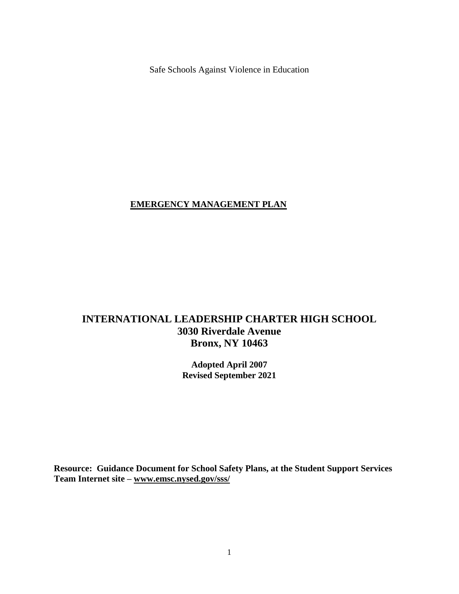Safe Schools Against Violence in Education

### **EMERGENCY MANAGEMENT PLAN**

# **INTERNATIONAL LEADERSHIP CHARTER HIGH SCHOOL 3030 Riverdale Avenue Bronx, NY 10463**

**Adopted April 2007 Revised September 2021**

**Resource: Guidance Document for School Safety Plans, at the Student Support Services Team Internet site – [www.emsc.nysed.gov/sss/](http://www.emsc.nysed.gov/sss/)**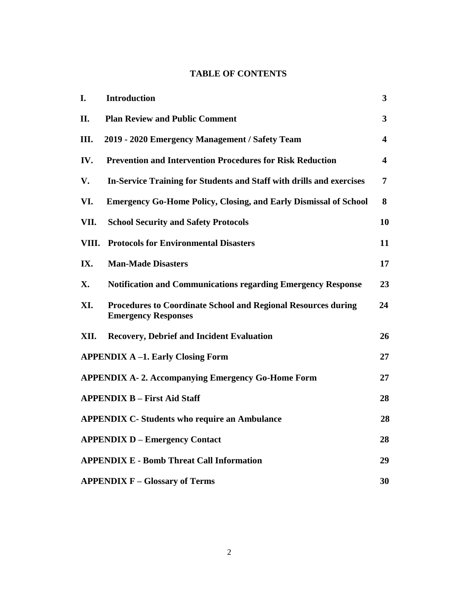# **TABLE OF CONTENTS**

| I.    | <b>Introduction</b>                                                                                | 3                       |
|-------|----------------------------------------------------------------------------------------------------|-------------------------|
| П.    | <b>Plan Review and Public Comment</b>                                                              | $\overline{\mathbf{3}}$ |
| III.  | 2019 - 2020 Emergency Management / Safety Team                                                     | $\overline{\mathbf{4}}$ |
| IV.   | <b>Prevention and Intervention Procedures for Risk Reduction</b>                                   | $\overline{\mathbf{4}}$ |
| V.    | In-Service Training for Students and Staff with drills and exercises                               | 7                       |
| VI.   | <b>Emergency Go-Home Policy, Closing, and Early Dismissal of School</b>                            | 8                       |
| VII.  | <b>School Security and Safety Protocols</b>                                                        | 10                      |
| VIII. | <b>Protocols for Environmental Disasters</b>                                                       | 11                      |
| IX.   | <b>Man-Made Disasters</b>                                                                          | 17                      |
| X.    | <b>Notification and Communications regarding Emergency Response</b>                                | 23                      |
| XI.   | <b>Procedures to Coordinate School and Regional Resources during</b><br><b>Emergency Responses</b> | 24                      |
| XII.  | <b>Recovery, Debrief and Incident Evaluation</b>                                                   | 26                      |
|       | <b>APPENDIX A-1. Early Closing Form</b>                                                            | 27                      |
|       | <b>APPENDIX A-2. Accompanying Emergency Go-Home Form</b>                                           | 27                      |
|       | <b>APPENDIX B - First Aid Staff</b>                                                                | 28                      |
|       | <b>APPENDIX C- Students who require an Ambulance</b>                                               | 28                      |
|       | <b>APPENDIX D – Emergency Contact</b>                                                              | 28                      |
|       | <b>APPENDIX E - Bomb Threat Call Information</b>                                                   | 29                      |
|       | <b>APPENDIX F - Glossary of Terms</b>                                                              | 30                      |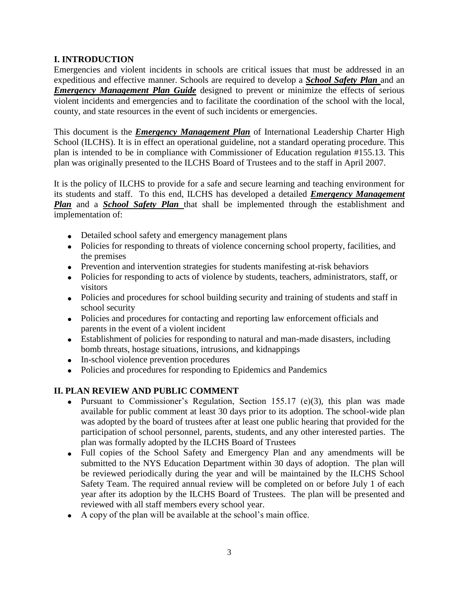## **I. INTRODUCTION**

Emergencies and violent incidents in schools are critical issues that must be addressed in an expeditious and effective manner. Schools are required to develop a *School Safety Plan* and an *Emergency Management Plan Guide* designed to prevent or minimize the effects of serious violent incidents and emergencies and to facilitate the coordination of the school with the local, county, and state resources in the event of such incidents or emergencies.

This document is the *Emergency Management Plan* of International Leadership Charter High School (ILCHS). It is in effect an operational guideline, not a standard operating procedure. This plan is intended to be in compliance with Commissioner of Education regulation #155.13. This plan was originally presented to the ILCHS Board of Trustees and to the staff in April 2007.

It is the policy of ILCHS to provide for a safe and secure learning and teaching environment for its students and staff. To this end, ILCHS has developed a detailed *Emergency Management Plan* and a *School Safety Plan* that shall be implemented through the establishment and implementation of:

- Detailed school safety and emergency management plans
- Policies for responding to threats of violence concerning school property, facilities, and the premises
- Prevention and intervention strategies for students manifesting at-risk behaviors
- Policies for responding to acts of violence by students, teachers, administrators, staff, or visitors
- Policies and procedures for school building security and training of students and staff in school security
- Policies and procedures for contacting and reporting law enforcement officials and parents in the event of a violent incident
- Establishment of policies for responding to natural and man-made disasters, including bomb threats, hostage situations, intrusions, and kidnappings
- In-school violence prevention procedures
- Policies and procedures for responding to Epidemics and Pandemics

## **II. PLAN REVIEW AND PUBLIC COMMENT**

- Pursuant to Commissioner's Regulation, Section 155.17 (e)(3), this plan was made available for public comment at least 30 days prior to its adoption. The school-wide plan was adopted by the board of trustees after at least one public hearing that provided for the participation of school personnel, parents, students, and any other interested parties. The plan was formally adopted by the ILCHS Board of Trustees
- Full copies of the School Safety and Emergency Plan and any amendments will be submitted to the NYS Education Department within 30 days of adoption. The plan will be reviewed periodically during the year and will be maintained by the ILCHS School Safety Team. The required annual review will be completed on or before July 1 of each year after its adoption by the ILCHS Board of Trustees. The plan will be presented and reviewed with all staff members every school year.
- A copy of the plan will be available at the school's main office.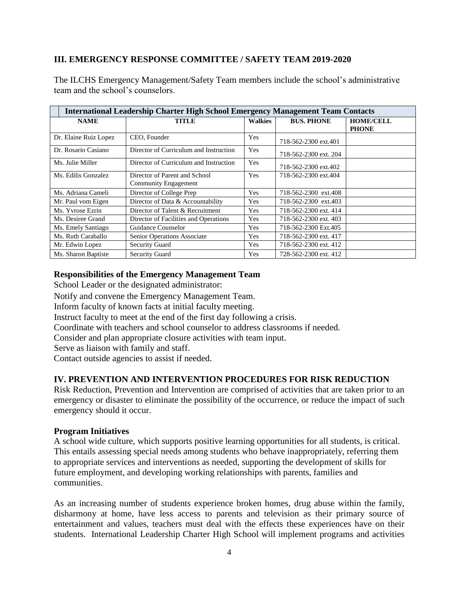### **III. EMERGENCY RESPONSE COMMITTEE / SAFETY TEAM 2019-2020**

The ILCHS Emergency Management/Safety Team members include the school's administrative team and the school's counselors.

|                       | <b>International Leadership Charter High School Emergency Management Team Contacts</b> |                |                       |                                  |
|-----------------------|----------------------------------------------------------------------------------------|----------------|-----------------------|----------------------------------|
| <b>NAME</b>           | <b>TITLE</b>                                                                           | <b>Walkies</b> | <b>BUS. PHONE</b>     | <b>HOME/CELL</b><br><b>PHONE</b> |
| Dr. Elaine Ruiz Lopez | CEO. Founder                                                                           | Yes            | 718-562-2300 ext.401  |                                  |
| Dr. Rosario Casiano   | Director of Curriculum and Instruction                                                 | Yes            | 718-562-2300 ext. 204 |                                  |
| Ms. Julie Miller      | Director of Curriculum and Instruction                                                 | Yes            | 718-562-2300 ext.402  |                                  |
| Ms. Edilis Gonzalez   | Director of Parent and School<br>Community Engagement                                  | <b>Yes</b>     | 718-562-2300 ext.404  |                                  |
| Ms. Adriana Cameli    | Director of College Prep                                                               | <b>Yes</b>     | 718-562-2300 ext.408  |                                  |
| Mr. Paul vom Eigen    | Director of Data & Accountability                                                      | <b>Yes</b>     | 718-562-2300 ext.403  |                                  |
| Ms. Yvrose Ezrin      | Director of Talent & Recruitment                                                       | Yes            | 718-562-2300 ext. 414 |                                  |
| Ms. Desiree Grand     | Director of Facilities and Operations                                                  | Yes            | 718-562-2300 ext. 403 |                                  |
| Ms. Emely Santiago    | Guidance Counselor                                                                     | Yes            | 718-562-2300 Ext.405  |                                  |
| Ms. Ruth Caraballo    | Senior Operations Associate                                                            | Yes            | 718-562-2300 ext. 417 |                                  |
| Mr. Edwin Lopez       | <b>Security Guard</b>                                                                  | Yes            | 718-562-2300 ext. 412 |                                  |
| Ms. Sharon Baptiste   | <b>Security Guard</b>                                                                  | <b>Yes</b>     | 728-562-2300 ext. 412 |                                  |

#### **Responsibilities of the Emergency Management Team**

School Leader or the designated administrator:

Notify and convene the Emergency Management Team.

Inform faculty of known facts at initial faculty meeting.

Instruct faculty to meet at the end of the first day following a crisis.

Coordinate with teachers and school counselor to address classrooms if needed.

Consider and plan appropriate closure activities with team input.

Serve as liaison with family and staff.

Contact outside agencies to assist if needed.

### **IV. PREVENTION AND INTERVENTION PROCEDURES FOR RISK REDUCTION**

Risk Reduction, Prevention and Intervention are comprised of activities that are taken prior to an emergency or disaster to eliminate the possibility of the occurrence, or reduce the impact of such emergency should it occur.

#### **Program Initiatives**

A school wide culture, which supports positive learning opportunities for all students, is critical. This entails assessing special needs among students who behave inappropriately, referring them to appropriate services and interventions as needed, supporting the development of skills for future employment, and developing working relationships with parents, families and communities.

As an increasing number of students experience broken homes, drug abuse within the family, disharmony at home, have less access to parents and television as their primary source of entertainment and values, teachers must deal with the effects these experiences have on their students. International Leadership Charter High School will implement programs and activities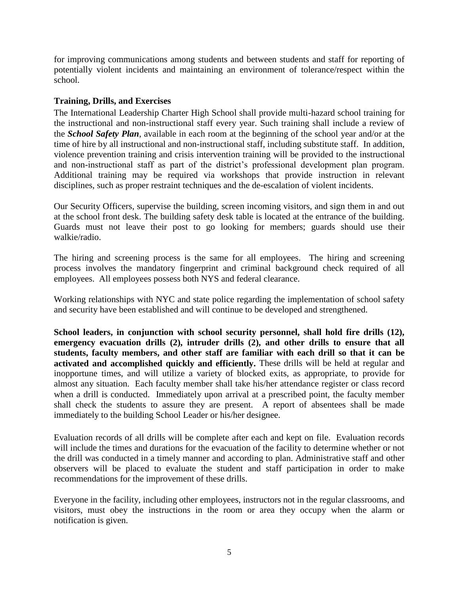for improving communications among students and between students and staff for reporting of potentially violent incidents and maintaining an environment of tolerance/respect within the school.

### **Training, Drills, and Exercises**

The International Leadership Charter High School shall provide multi-hazard school training for the instructional and non-instructional staff every year. Such training shall include a review of the *School Safety Plan*, available in each room at the beginning of the school year and/or at the time of hire by all instructional and non-instructional staff, including substitute staff. In addition, violence prevention training and crisis intervention training will be provided to the instructional and non-instructional staff as part of the district's professional development plan program. Additional training may be required via workshops that provide instruction in relevant disciplines, such as proper restraint techniques and the de-escalation of violent incidents.

Our Security Officers, supervise the building, screen incoming visitors, and sign them in and out at the school front desk. The building safety desk table is located at the entrance of the building. Guards must not leave their post to go looking for members; guards should use their walkie/radio.

The hiring and screening process is the same for all employees. The hiring and screening process involves the mandatory fingerprint and criminal background check required of all employees. All employees possess both NYS and federal clearance.

Working relationships with NYC and state police regarding the implementation of school safety and security have been established and will continue to be developed and strengthened.

**School leaders, in conjunction with school security personnel, shall hold fire drills (12), emergency evacuation drills (2), intruder drills (2), and other drills to ensure that all students, faculty members, and other staff are familiar with each drill so that it can be activated and accomplished quickly and efficiently.** These drills will be held at regular and inopportune times, and will utilize a variety of blocked exits, as appropriate, to provide for almost any situation. Each faculty member shall take his/her attendance register or class record when a drill is conducted. Immediately upon arrival at a prescribed point, the faculty member shall check the students to assure they are present. A report of absentees shall be made immediately to the building School Leader or his/her designee.

Evaluation records of all drills will be complete after each and kept on file. Evaluation records will include the times and durations for the evacuation of the facility to determine whether or not the drill was conducted in a timely manner and according to plan. Administrative staff and other observers will be placed to evaluate the student and staff participation in order to make recommendations for the improvement of these drills.

Everyone in the facility, including other employees, instructors not in the regular classrooms, and visitors, must obey the instructions in the room or area they occupy when the alarm or notification is given.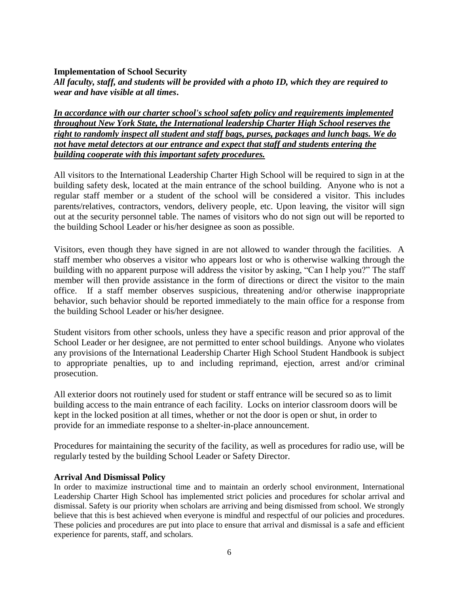#### **Implementation of School Security**

*All faculty, staff, and students will be provided with a photo ID, which they are required to wear and have visible at all times***.**

*In accordance with our charter school's school safety policy and requirements implemented throughout New York State, the International leadership Charter High School reserves the right to randomly inspect all student and staff bags, purses, packages and lunch bags. We do not have metal detectors at our entrance and expect that staff and students entering the building cooperate with this important safety procedures.*

All visitors to the International Leadership Charter High School will be required to sign in at the building safety desk, located at the main entrance of the school building. Anyone who is not a regular staff member or a student of the school will be considered a visitor. This includes parents/relatives, contractors, vendors, delivery people, etc. Upon leaving, the visitor will sign out at the security personnel table. The names of visitors who do not sign out will be reported to the building School Leader or his/her designee as soon as possible.

Visitors, even though they have signed in are not allowed to wander through the facilities. A staff member who observes a visitor who appears lost or who is otherwise walking through the building with no apparent purpose will address the visitor by asking, "Can I help you?" The staff member will then provide assistance in the form of directions or direct the visitor to the main office. If a staff member observes suspicious, threatening and/or otherwise inappropriate behavior, such behavior should be reported immediately to the main office for a response from the building School Leader or his/her designee.

Student visitors from other schools, unless they have a specific reason and prior approval of the School Leader or her designee, are not permitted to enter school buildings. Anyone who violates any provisions of the International Leadership Charter High School Student Handbook is subject to appropriate penalties, up to and including reprimand, ejection, arrest and/or criminal prosecution.

All exterior doors not routinely used for student or staff entrance will be secured so as to limit building access to the main entrance of each facility. Locks on interior classroom doors will be kept in the locked position at all times, whether or not the door is open or shut, in order to provide for an immediate response to a shelter-in-place announcement.

Procedures for maintaining the security of the facility, as well as procedures for radio use, will be regularly tested by the building School Leader or Safety Director.

#### **Arrival And Dismissal Policy**

In order to maximize instructional time and to maintain an orderly school environment, International Leadership Charter High School has implemented strict policies and procedures for scholar arrival and dismissal. Safety is our priority when scholars are arriving and being dismissed from school. We strongly believe that this is best achieved when everyone is mindful and respectful of our policies and procedures. These policies and procedures are put into place to ensure that arrival and dismissal is a safe and efficient experience for parents, staff, and scholars.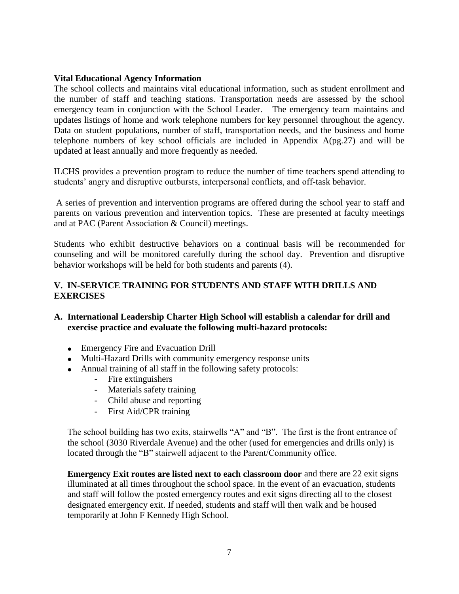#### **Vital Educational Agency Information**

The school collects and maintains vital educational information, such as student enrollment and the number of staff and teaching stations. Transportation needs are assessed by the school emergency team in conjunction with the School Leader. The emergency team maintains and updates listings of home and work telephone numbers for key personnel throughout the agency. Data on student populations, number of staff, transportation needs, and the business and home telephone numbers of key school officials are included in Appendix A(pg.27) and will be updated at least annually and more frequently as needed.

ILCHS provides a prevention program to reduce the number of time teachers spend attending to students' angry and disruptive outbursts, interpersonal conflicts, and off-task behavior.

A series of prevention and intervention programs are offered during the school year to staff and parents on various prevention and intervention topics. These are presented at faculty meetings and at PAC (Parent Association & Council) meetings.

Students who exhibit destructive behaviors on a continual basis will be recommended for counseling and will be monitored carefully during the school day. Prevention and disruptive behavior workshops will be held for both students and parents (4).

### **V. IN-SERVICE TRAINING FOR STUDENTS AND STAFF WITH DRILLS AND EXERCISES**

- **A. International Leadership Charter High School will establish a calendar for drill and exercise practice and evaluate the following multi-hazard protocols:**
	- Emergency Fire and Evacuation Drill
	- Multi-Hazard Drills with community emergency response units
	- Annual training of all staff in the following safety protocols:
		- Fire extinguishers
		- Materials safety training
		- Child abuse and reporting
		- First Aid/CPR training

The school building has two exits, stairwells "A" and "B". The first is the front entrance of the school (3030 Riverdale Avenue) and the other (used for emergencies and drills only) is located through the "B" stairwell adjacent to the Parent/Community office.

**Emergency Exit routes are listed next to each classroom door** and there are 22 exit signs illuminated at all times throughout the school space. In the event of an evacuation, students and staff will follow the posted emergency routes and exit signs directing all to the closest designated emergency exit. If needed, students and staff will then walk and be housed temporarily at John F Kennedy High School.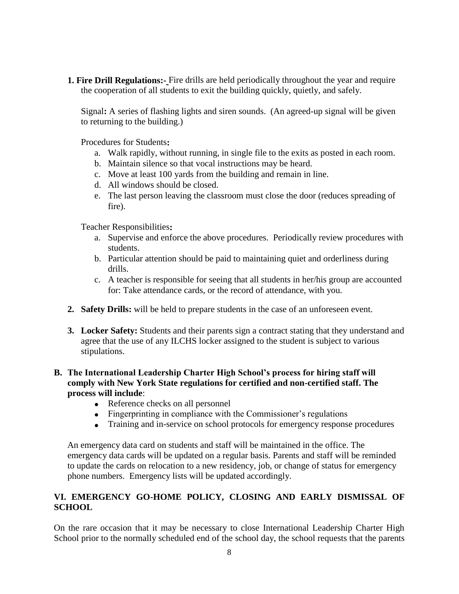**1. Fire Drill Regulations:-** Fire drills are held periodically throughout the year and require the cooperation of all students to exit the building quickly, quietly, and safely.

Signal**:** A series of flashing lights and siren sounds. (An agreed-up signal will be given to returning to the building.)

Procedures for Students**:**

- a. Walk rapidly, without running, in single file to the exits as posted in each room.
- b. Maintain silence so that vocal instructions may be heard.
- c. Move at least 100 yards from the building and remain in line.
- d. All windows should be closed.
- e. The last person leaving the classroom must close the door (reduces spreading of fire).

Teacher Responsibilities**:**

- a. Supervise and enforce the above procedures. Periodically review procedures with students.
- b. Particular attention should be paid to maintaining quiet and orderliness during drills.
- c. A teacher is responsible for seeing that all students in her/his group are accounted for: Take attendance cards, or the record of attendance, with you.
- **2. Safety Drills:** will be held to prepare students in the case of an unforeseen event.
- **3. Locker Safety:** Students and their parents sign a contract stating that they understand and agree that the use of any ILCHS locker assigned to the student is subject to various stipulations.

### **B. The International Leadership Charter High School's process for hiring staff will comply with New York State regulations for certified and non-certified staff. The process will include**:

- Reference checks on all personnel
- Fingerprinting in compliance with the Commissioner's regulations
- Training and in-service on school protocols for emergency response procedures

An emergency data card on students and staff will be maintained in the office. The emergency data cards will be updated on a regular basis. Parents and staff will be reminded to update the cards on relocation to a new residency, job, or change of status for emergency phone numbers. Emergency lists will be updated accordingly.

### **VI. EMERGENCY GO-HOME POLICY, CLOSING AND EARLY DISMISSAL OF SCHOOL**

On the rare occasion that it may be necessary to close International Leadership Charter High School prior to the normally scheduled end of the school day, the school requests that the parents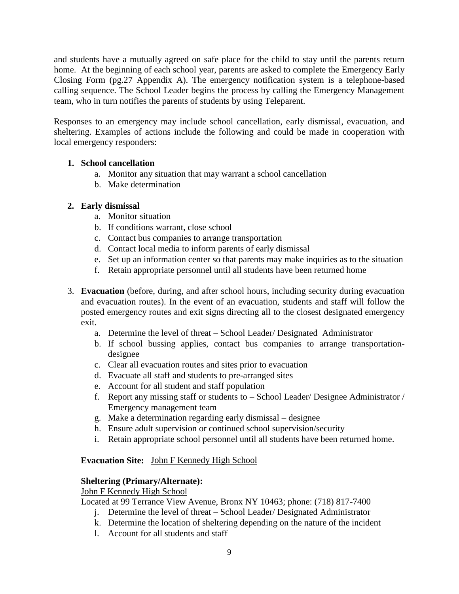and students have a mutually agreed on safe place for the child to stay until the parents return home. At the beginning of each school year, parents are asked to complete the Emergency Early Closing Form (pg.27 Appendix A). The emergency notification system is a telephone-based calling sequence. The School Leader begins the process by calling the Emergency Management team, who in turn notifies the parents of students by using Teleparent.

Responses to an emergency may include school cancellation, early dismissal, evacuation, and sheltering. Examples of actions include the following and could be made in cooperation with local emergency responders:

### **1. School cancellation**

- a. Monitor any situation that may warrant a school cancellation
- b. Make determination

## **2. Early dismissal**

- a. Monitor situation
- b. If conditions warrant, close school
- c. Contact bus companies to arrange transportation
- d. Contact local media to inform parents of early dismissal
- e. Set up an information center so that parents may make inquiries as to the situation
- f. Retain appropriate personnel until all students have been returned home
- 3. **Evacuation** (before, during, and after school hours, including security during evacuation and evacuation routes). In the event of an evacuation, students and staff will follow the posted emergency routes and exit signs directing all to the closest designated emergency exit.
	- a. Determine the level of threat School Leader/ Designated Administrator
	- b. If school bussing applies, contact bus companies to arrange transportationdesignee
	- c. Clear all evacuation routes and sites prior to evacuation
	- d. Evacuate all staff and students to pre-arranged sites
	- e. Account for all student and staff population
	- f. Report any missing staff or students to School Leader/ Designee Administrator / Emergency management team
	- g. Make a determination regarding early dismissal designee
	- h. Ensure adult supervision or continued school supervision/security
	- i. Retain appropriate school personnel until all students have been returned home.

### **Evacuation Site:** John F Kennedy High School

### **Sheltering (Primary/Alternate):**

John F Kennedy High School

Located at 99 Terrance View Avenue, Bronx NY 10463; phone: (718) 817-7400

- j. Determine the level of threat School Leader/ Designated Administrator
- k. Determine the location of sheltering depending on the nature of the incident
- l. Account for all students and staff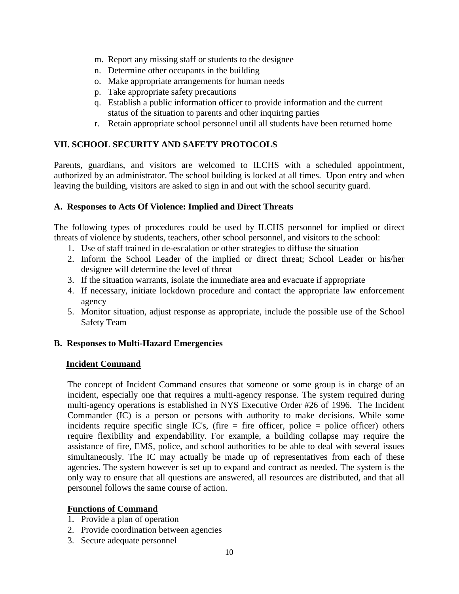- m. Report any missing staff or students to the designee
- n. Determine other occupants in the building
- o. Make appropriate arrangements for human needs
- p. Take appropriate safety precautions
- q. Establish a public information officer to provide information and the current status of the situation to parents and other inquiring parties
- r. Retain appropriate school personnel until all students have been returned home

## **VII. SCHOOL SECURITY AND SAFETY PROTOCOLS**

Parents, guardians, and visitors are welcomed to ILCHS with a scheduled appointment, authorized by an administrator. The school building is locked at all times. Upon entry and when leaving the building, visitors are asked to sign in and out with the school security guard.

### **A. Responses to Acts Of Violence: Implied and Direct Threats**

The following types of procedures could be used by ILCHS personnel for implied or direct threats of violence by students, teachers, other school personnel, and visitors to the school:

- 1. Use of staff trained in de-escalation or other strategies to diffuse the situation
- 2. Inform the School Leader of the implied or direct threat; School Leader or his/her designee will determine the level of threat
- 3. If the situation warrants, isolate the immediate area and evacuate if appropriate
- 4. If necessary, initiate lockdown procedure and contact the appropriate law enforcement agency
- 5. Monitor situation, adjust response as appropriate, include the possible use of the School Safety Team

### **B. Responses to Multi-Hazard Emergencies**

#### **Incident Command**

The concept of Incident Command ensures that someone or some group is in charge of an incident, especially one that requires a multi-agency response. The system required during multi-agency operations is established in NYS Executive Order #26 of 1996. The Incident Commander (IC) is a person or persons with authority to make decisions. While some incidents require specific single IC's, (fire  $=$  fire officer, police  $=$  police officer) others require flexibility and expendability. For example, a building collapse may require the assistance of fire, EMS, police, and school authorities to be able to deal with several issues simultaneously. The IC may actually be made up of representatives from each of these agencies. The system however is set up to expand and contract as needed. The system is the only way to ensure that all questions are answered, all resources are distributed, and that all personnel follows the same course of action.

### **Functions of Command**

- 1. Provide a plan of operation
- 2. Provide coordination between agencies
- 3. Secure adequate personnel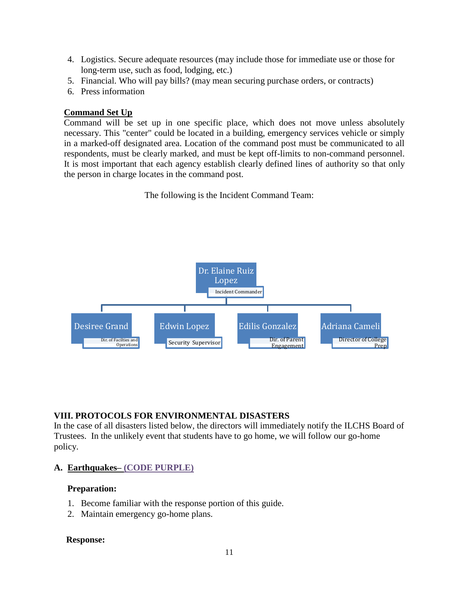- 4. Logistics. Secure adequate resources (may include those for immediate use or those for long-term use, such as food, lodging, etc.)
- 5. Financial. Who will pay bills? (may mean securing purchase orders, or contracts)
- 6. Press information

### **Command Set Up**

Command will be set up in one specific place, which does not move unless absolutely necessary. This "center" could be located in a building, emergency services vehicle or simply in a marked-off designated area. Location of the command post must be communicated to all respondents, must be clearly marked, and must be kept off-limits to non-command personnel. It is most important that each agency establish clearly defined lines of authority so that only the person in charge locates in the command post.

The following is the Incident Command Team:



#### **VIII. PROTOCOLS FOR ENVIRONMENTAL DISASTERS**

In the case of all disasters listed below, the directors will immediately notify the ILCHS Board of Trustees. In the unlikely event that students have to go home, we will follow our go-home policy.

#### **A. Earthquakes– (CODE PURPLE)**

#### **Preparation:**

- 1. Become familiar with the response portion of this guide.
- 2. Maintain emergency go-home plans.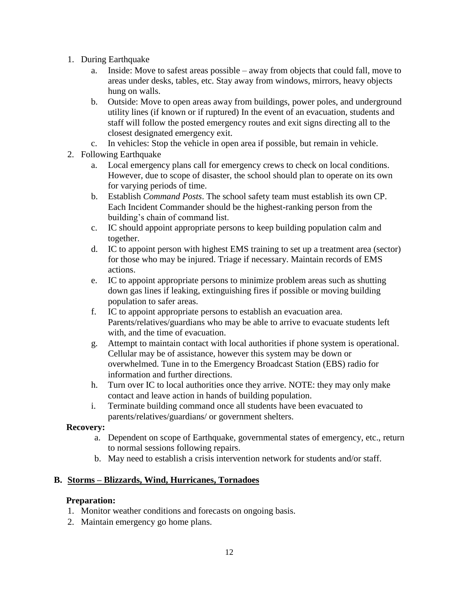- 1. During Earthquake
	- a. Inside: Move to safest areas possible away from objects that could fall, move to areas under desks, tables, etc. Stay away from windows, mirrors, heavy objects hung on walls.
	- b. Outside: Move to open areas away from buildings, power poles, and underground utility lines (if known or if ruptured) In the event of an evacuation, students and staff will follow the posted emergency routes and exit signs directing all to the closest designated emergency exit.
	- c. In vehicles: Stop the vehicle in open area if possible, but remain in vehicle.
- 2. Following Earthquake
	- a. Local emergency plans call for emergency crews to check on local conditions. However, due to scope of disaster, the school should plan to operate on its own for varying periods of time.
	- b. Establish *Command Posts*. The school safety team must establish its own CP. Each Incident Commander should be the highest-ranking person from the building's chain of command list.
	- c. IC should appoint appropriate persons to keep building population calm and together.
	- d. IC to appoint person with highest EMS training to set up a treatment area (sector) for those who may be injured. Triage if necessary. Maintain records of EMS actions.
	- e. IC to appoint appropriate persons to minimize problem areas such as shutting down gas lines if leaking, extinguishing fires if possible or moving building population to safer areas.
	- f. IC to appoint appropriate persons to establish an evacuation area. Parents/relatives/guardians who may be able to arrive to evacuate students left with, and the time of evacuation.
	- g. Attempt to maintain contact with local authorities if phone system is operational. Cellular may be of assistance, however this system may be down or overwhelmed. Tune in to the Emergency Broadcast Station (EBS) radio for information and further directions.
	- h. Turn over IC to local authorities once they arrive. NOTE: they may only make contact and leave action in hands of building population.
	- i. Terminate building command once all students have been evacuated to parents/relatives/guardians/ or government shelters.

### **Recovery:**

- a. Dependent on scope of Earthquake, governmental states of emergency, etc., return to normal sessions following repairs.
- b. May need to establish a crisis intervention network for students and/or staff.

### **B. Storms – Blizzards, Wind, Hurricanes, Tornadoes**

### **Preparation:**

- 1. Monitor weather conditions and forecasts on ongoing basis.
- 2. Maintain emergency go home plans.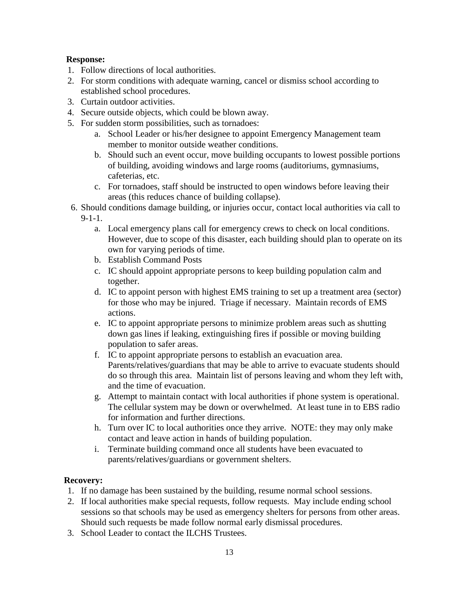### **Response:**

- 1. Follow directions of local authorities.
- 2. For storm conditions with adequate warning, cancel or dismiss school according to established school procedures.
- 3. Curtain outdoor activities.
- 4. Secure outside objects, which could be blown away.
- 5. For sudden storm possibilities, such as tornadoes:
	- a. School Leader or his/her designee to appoint Emergency Management team member to monitor outside weather conditions.
	- b. Should such an event occur, move building occupants to lowest possible portions of building, avoiding windows and large rooms (auditoriums, gymnasiums, cafeterias, etc.
	- c. For tornadoes, staff should be instructed to open windows before leaving their areas (this reduces chance of building collapse).
- 6. Should conditions damage building, or injuries occur, contact local authorities via call to  $9-1-1$ .
	- a. Local emergency plans call for emergency crews to check on local conditions. However, due to scope of this disaster, each building should plan to operate on its own for varying periods of time.
	- b. Establish Command Posts
	- c. IC should appoint appropriate persons to keep building population calm and together.
	- d. IC to appoint person with highest EMS training to set up a treatment area (sector) for those who may be injured. Triage if necessary. Maintain records of EMS actions.
	- e. IC to appoint appropriate persons to minimize problem areas such as shutting down gas lines if leaking, extinguishing fires if possible or moving building population to safer areas.
	- f. IC to appoint appropriate persons to establish an evacuation area. Parents/relatives/guardians that may be able to arrive to evacuate students should do so through this area. Maintain list of persons leaving and whom they left with, and the time of evacuation.
	- g. Attempt to maintain contact with local authorities if phone system is operational. The cellular system may be down or overwhelmed. At least tune in to EBS radio for information and further directions.
	- h. Turn over IC to local authorities once they arrive. NOTE: they may only make contact and leave action in hands of building population.
	- i. Terminate building command once all students have been evacuated to parents/relatives/guardians or government shelters.

## **Recovery:**

- 1. If no damage has been sustained by the building, resume normal school sessions.
- 2. If local authorities make special requests, follow requests. May include ending school sessions so that schools may be used as emergency shelters for persons from other areas. Should such requests be made follow normal early dismissal procedures.
- 3. School Leader to contact the ILCHS Trustees.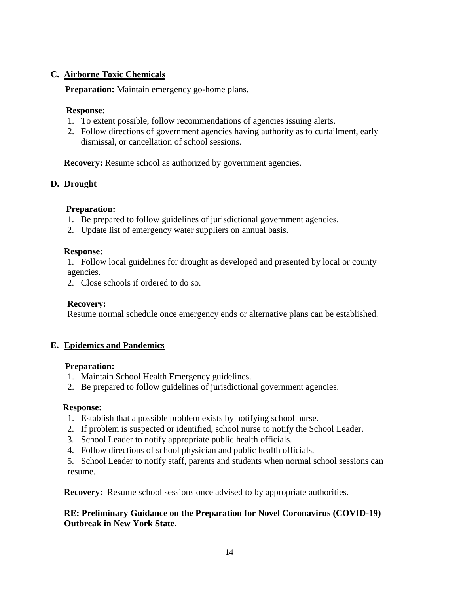## **C. Airborne Toxic Chemicals**

**Preparation:** Maintain emergency go-home plans.

### **Response:**

- 1. To extent possible, follow recommendations of agencies issuing alerts.
- 2. Follow directions of government agencies having authority as to curtailment, early dismissal, or cancellation of school sessions.

**Recovery:** Resume school as authorized by government agencies.

### **D. Drought**

### **Preparation:**

- 1. Be prepared to follow guidelines of jurisdictional government agencies.
- 2. Update list of emergency water suppliers on annual basis.

#### **Response:**

1. Follow local guidelines for drought as developed and presented by local or county agencies.

2. Close schools if ordered to do so.

#### **Recovery:**

Resume normal schedule once emergency ends or alternative plans can be established.

#### **E. Epidemics and Pandemics**

#### **Preparation:**

- 1. Maintain School Health Emergency guidelines.
- 2. Be prepared to follow guidelines of jurisdictional government agencies.

#### **Response:**

- 1. Establish that a possible problem exists by notifying school nurse.
- 2. If problem is suspected or identified, school nurse to notify the School Leader.
- 3. School Leader to notify appropriate public health officials.
- 4. Follow directions of school physician and public health officials.

5. School Leader to notify staff, parents and students when normal school sessions can resume.

**Recovery:** Resume school sessions once advised to by appropriate authorities.

### **RE: Preliminary Guidance on the Preparation for Novel Coronavirus (COVID-19) Outbreak in New York State**.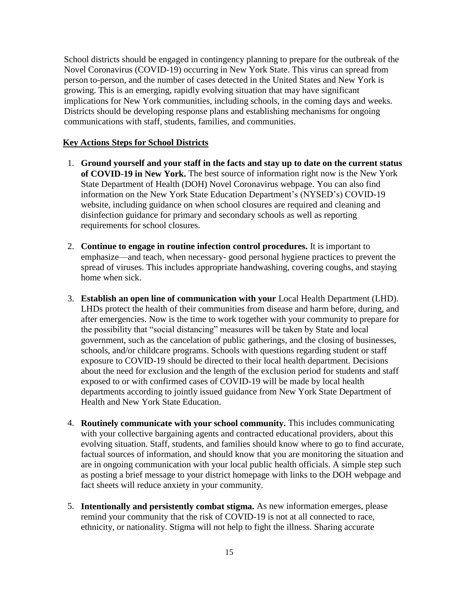School districts should be engaged in contingency planning to prepare for the outbreak of the Novel Coronavirus (COVID-19) occurring in New York State. This virus can spread from person to-person, and the number of cases detected in the United States and New York is growing. This is an emerging, rapidly evolving situation that may have significant implications for New York communities, including schools, in the coming days and weeks. Districts should be developing response plans and establishing mechanisms for ongoing communications with staff, students, families, and communities.

#### **Key Actions Steps for School Districts**

- 1. **Ground yourself and your staff in the facts and stay up to date on the current status of COVID-19 in New York.** The best source of information right now is the New York State Department of Health (DOH) Novel Coronavirus webpage. You can also find information on the New York State Education Department's (NYSED's) COVID-19 website, including guidance on when school closures are required and cleaning and disinfection guidance for primary and secondary schools as well as reporting requirements for school closures.
- 2. **Continue to engage in routine infection control procedures.** It is important to emphasize—and teach, when necessary- good personal hygiene practices to prevent the spread of viruses. This includes appropriate handwashing, covering coughs, and staying home when sick.
- 3. **Establish an open line of communication with your** Local Health Department (LHD). LHDs protect the health of their communities from disease and harm before, during, and after emergencies. Now is the time to work together with your community to prepare for the possibility that "social distancing" measures will be taken by State and local government, such as the cancelation of public gatherings, and the closing of businesses, schools, and/or childcare programs. Schools with questions regarding student or staff exposure to COVID-19 should be directed to their local health department. Decisions about the need for exclusion and the length of the exclusion period for students and staff exposed to or with confirmed cases of COVID-19 will be made by local health departments according to jointly issued guidance from New York State Department of Health and New York State Education.
- 4. **Routinely communicate with your school community.** This includes communicating with your collective bargaining agents and contracted educational providers, about this evolving situation. Staff, students, and families should know where to go to find accurate, factual sources of information, and should know that you are monitoring the situation and are in ongoing communication with your local public health officials. A simple step such as posting a brief message to your district homepage with links to the DOH webpage and fact sheets will reduce anxiety in your community.
- 5. **Intentionally and persistently combat stigma.** As new information emerges, please remind your community that the risk of COVID-19 is not at all connected to race, ethnicity, or nationality. Stigma will not help to fight the illness. Sharing accurate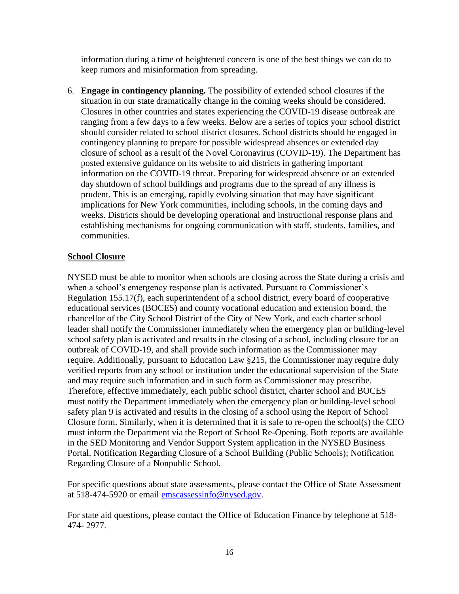information during a time of heightened concern is one of the best things we can do to keep rumors and misinformation from spreading.

6. **Engage in contingency planning.** The possibility of extended school closures if the situation in our state dramatically change in the coming weeks should be considered. Closures in other countries and states experiencing the COVID-19 disease outbreak are ranging from a few days to a few weeks. Below are a series of topics your school district should consider related to school district closures. School districts should be engaged in contingency planning to prepare for possible widespread absences or extended day closure of school as a result of the Novel Coronavirus (COVID-19). The Department has posted extensive guidance on its website to aid districts in gathering important information on the COVID-19 threat. Preparing for widespread absence or an extended day shutdown of school buildings and programs due to the spread of any illness is prudent. This is an emerging, rapidly evolving situation that may have significant implications for New York communities, including schools, in the coming days and weeks. Districts should be developing operational and instructional response plans and establishing mechanisms for ongoing communication with staff, students, families, and communities.

### **School Closure**

NYSED must be able to monitor when schools are closing across the State during a crisis and when a school's emergency response plan is activated. Pursuant to Commissioner's Regulation 155.17(f), each superintendent of a school district, every board of cooperative educational services (BOCES) and county vocational education and extension board, the chancellor of the City School District of the City of New York, and each charter school leader shall notify the Commissioner immediately when the emergency plan or building-level school safety plan is activated and results in the closing of a school, including closure for an outbreak of COVID-19, and shall provide such information as the Commissioner may require. Additionally, pursuant to Education Law §215, the Commissioner may require duly verified reports from any school or institution under the educational supervision of the State and may require such information and in such form as Commissioner may prescribe. Therefore, effective immediately, each public school district, charter school and BOCES must notify the Department immediately when the emergency plan or building-level school safety plan 9 is activated and results in the closing of a school using the Report of School Closure form. Similarly, when it is determined that it is safe to re-open the school(s) the CEO must inform the Department via the Report of School Re-Opening. Both reports are available in the SED Monitoring and Vendor Support System application in the NYSED Business Portal. Notification Regarding Closure of a School Building (Public Schools); Notification Regarding Closure of a Nonpublic School.

For specific questions about state assessments, please contact the Office of State Assessment at 518-474-5920 or email [emscassessinfo@nysed.gov.](mailto:emscassessinfo@nysed.gov)

For state aid questions, please contact the Office of Education Finance by telephone at 518- 474- 2977.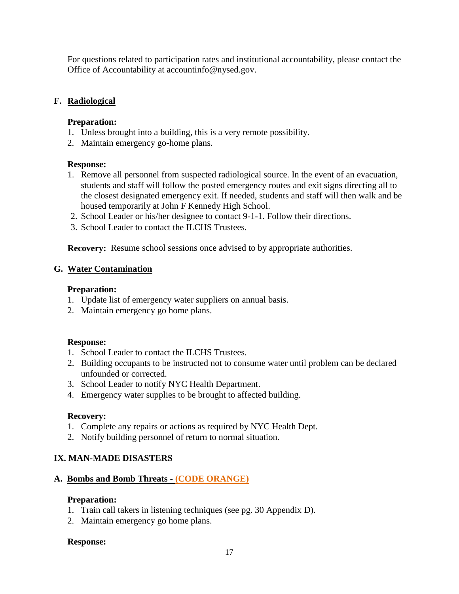For questions related to participation rates and institutional accountability, please contact the Office of Accountability at accountinfo@nysed.gov.

### **F. Radiological**

### **Preparation:**

- 1. Unless brought into a building, this is a very remote possibility.
- 2. Maintain emergency go-home plans.

#### **Response:**

- 1. Remove all personnel from suspected radiological source. In the event of an evacuation, students and staff will follow the posted emergency routes and exit signs directing all to the closest designated emergency exit. If needed, students and staff will then walk and be housed temporarily at John F Kennedy High School.
- 2. School Leader or his/her designee to contact 9-1-1. Follow their directions.
- 3. School Leader to contact the ILCHS Trustees.

**Recovery:** Resume school sessions once advised to by appropriate authorities.

### **G. Water Contamination**

#### **Preparation:**

- 1. Update list of emergency water suppliers on annual basis.
- 2. Maintain emergency go home plans.

#### **Response:**

- 1. School Leader to contact the ILCHS Trustees.
- 2. Building occupants to be instructed not to consume water until problem can be declared unfounded or corrected.
- 3. School Leader to notify NYC Health Department.
- 4. Emergency water supplies to be brought to affected building.

#### **Recovery:**

- 1. Complete any repairs or actions as required by NYC Health Dept.
- 2. Notify building personnel of return to normal situation.

### **IX. MAN-MADE DISASTERS**

### **A. Bombs and Bomb Threats - (CODE ORANGE)**

#### **Preparation:**

- 1. Train call takers in listening techniques (see pg. 30 Appendix D).
- 2. Maintain emergency go home plans.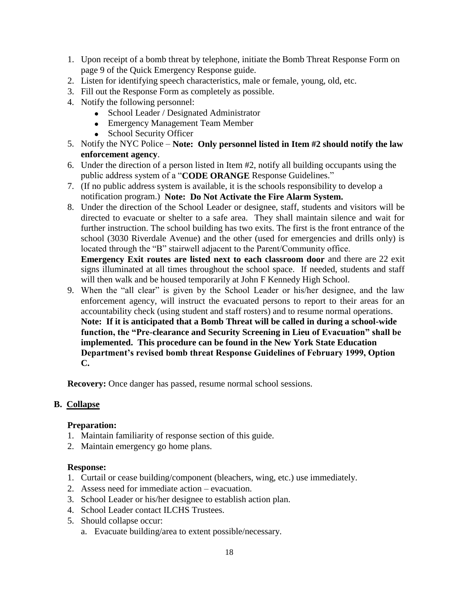- 1. Upon receipt of a bomb threat by telephone, initiate the Bomb Threat Response Form on page 9 of the Quick Emergency Response guide.
- 2. Listen for identifying speech characteristics, male or female, young, old, etc.
- 3. Fill out the Response Form as completely as possible.
- 4. Notify the following personnel:
	- School Leader / Designated Administrator
	- Emergency Management Team Member
	- School Security Officer
- 5. Notify the NYC Police **Note: Only personnel listed in Item #2 should notify the law enforcement agency**.
- 6. Under the direction of a person listed in Item #2, notify all building occupants using the public address system of a "**CODE ORANGE** Response Guidelines."
- 7. (If no public address system is available, it is the schools responsibility to develop a notification program.) **Note: Do Not Activate the Fire Alarm System.**
- 8. Under the direction of the School Leader or designee, staff, students and visitors will be directed to evacuate or shelter to a safe area. They shall maintain silence and wait for further instruction. The school building has two exits. The first is the front entrance of the school (3030 Riverdale Avenue) and the other (used for emergencies and drills only) is located through the "B" stairwell adjacent to the Parent/Community office.

**Emergency Exit routes are listed next to each classroom door** and there are 22 exit signs illuminated at all times throughout the school space. If needed, students and staff will then walk and be housed temporarily at John F Kennedy High School.

9. When the "all clear" is given by the School Leader or his/her designee, and the law enforcement agency, will instruct the evacuated persons to report to their areas for an accountability check (using student and staff rosters) and to resume normal operations. **Note: If it is anticipated that a Bomb Threat will be called in during a school-wide function, the "Pre-clearance and Security Screening in Lieu of Evacuation" shall be implemented. This procedure can be found in the New York State Education Department's revised bomb threat Response Guidelines of February 1999, Option C.**

**Recovery:** Once danger has passed, resume normal school sessions.

#### **B. Collapse**

#### **Preparation:**

- 1. Maintain familiarity of response section of this guide.
- 2. Maintain emergency go home plans.

- 1. Curtail or cease building/component (bleachers, wing, etc.) use immediately.
- 2. Assess need for immediate action evacuation.
- 3. School Leader or his/her designee to establish action plan.
- 4. School Leader contact ILCHS Trustees.
- 5. Should collapse occur:
	- a. Evacuate building/area to extent possible/necessary.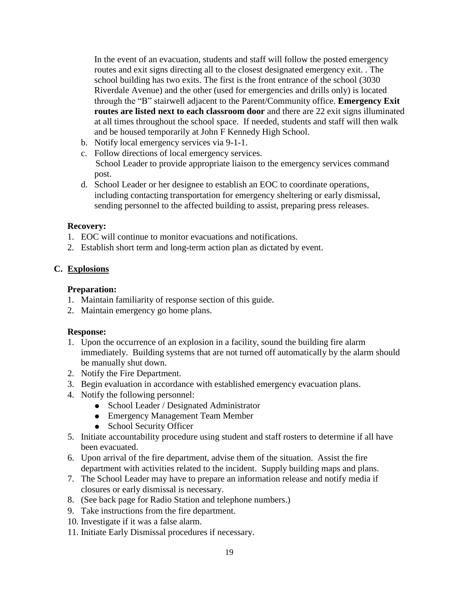In the event of an evacuation, students and staff will follow the posted emergency routes and exit signs directing all to the closest designated emergency exit. . The school building has two exits. The first is the front entrance of the school (3030 Riverdale Avenue) and the other (used for emergencies and drills only) is located through the "B" stairwell adjacent to the Parent/Community office. **Emergency Exit routes are listed next to each classroom door** and there are 22 exit signs illuminated at all times throughout the school space. If needed, students and staff will then walk and be housed temporarily at John F Kennedy High School.

- b. Notify local emergency services via 9-1-1.
- c. Follow directions of local emergency services. School Leader to provide appropriate liaison to the emergency services command post.
- d. School Leader or her designee to establish an EOC to coordinate operations, including contacting transportation for emergency sheltering or early dismissal, sending personnel to the affected building to assist, preparing press releases.

#### **Recovery:**

- 1. EOC will continue to monitor evacuations and notifications.
- 2. Establish short term and long-term action plan as dictated by event.

## **C. Explosions**

### **Preparation:**

- 1. Maintain familiarity of response section of this guide.
- 2. Maintain emergency go home plans.

- 1. Upon the occurrence of an explosion in a facility, sound the building fire alarm immediately. Building systems that are not turned off automatically by the alarm should be manually shut down.
- 2. Notify the Fire Department.
- 3. Begin evaluation in accordance with established emergency evacuation plans.
- 4. Notify the following personnel:
	- School Leader / Designated Administrator
	- Emergency Management Team Member
	- School Security Officer
- 5. Initiate accountability procedure using student and staff rosters to determine if all have been evacuated.
- 6. Upon arrival of the fire department, advise them of the situation. Assist the fire department with activities related to the incident. Supply building maps and plans.
- 7. The School Leader may have to prepare an information release and notify media if closures or early dismissal is necessary.
- 8. (See back page for Radio Station and telephone numbers.)
- 9. Take instructions from the fire department.
- 10. Investigate if it was a false alarm.
- 11. Initiate Early Dismissal procedures if necessary.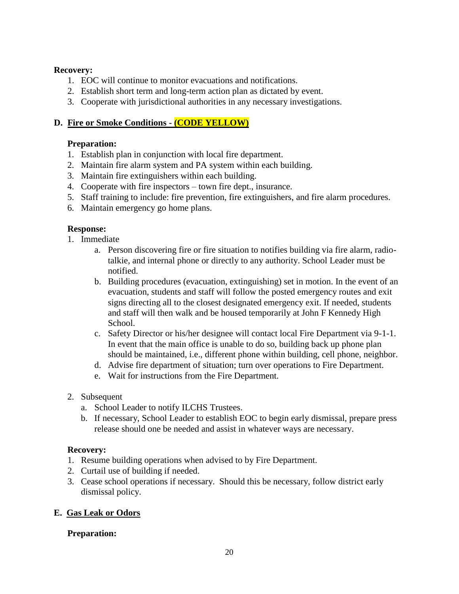### **Recovery:**

- 1. EOC will continue to monitor evacuations and notifications.
- 2. Establish short term and long-term action plan as dictated by event.
- 3. Cooperate with jurisdictional authorities in any necessary investigations.

# **D. Fire or Smoke Conditions - (CODE YELLOW)**

## **Preparation:**

- 1. Establish plan in conjunction with local fire department.
- 2. Maintain fire alarm system and PA system within each building.
- 3. Maintain fire extinguishers within each building.
- 4. Cooperate with fire inspectors town fire dept., insurance.
- 5. Staff training to include: fire prevention, fire extinguishers, and fire alarm procedures.
- 6. Maintain emergency go home plans.

## **Response:**

- 1. Immediate
	- a. Person discovering fire or fire situation to notifies building via fire alarm, radiotalkie, and internal phone or directly to any authority. School Leader must be notified.
	- b. Building procedures (evacuation, extinguishing) set in motion. In the event of an evacuation, students and staff will follow the posted emergency routes and exit signs directing all to the closest designated emergency exit. If needed, students and staff will then walk and be housed temporarily at John F Kennedy High School.
	- c. Safety Director or his/her designee will contact local Fire Department via 9-1-1. In event that the main office is unable to do so, building back up phone plan should be maintained, i.e., different phone within building, cell phone, neighbor.
	- d. Advise fire department of situation; turn over operations to Fire Department.
	- e. Wait for instructions from the Fire Department.
- 2. Subsequent
	- a. School Leader to notify ILCHS Trustees.
	- b. If necessary, School Leader to establish EOC to begin early dismissal, prepare press release should one be needed and assist in whatever ways are necessary.

## **Recovery:**

- 1. Resume building operations when advised to by Fire Department.
- 2. Curtail use of building if needed.
- 3. Cease school operations if necessary. Should this be necessary, follow district early dismissal policy.

## **E. Gas Leak or Odors**

## **Preparation:**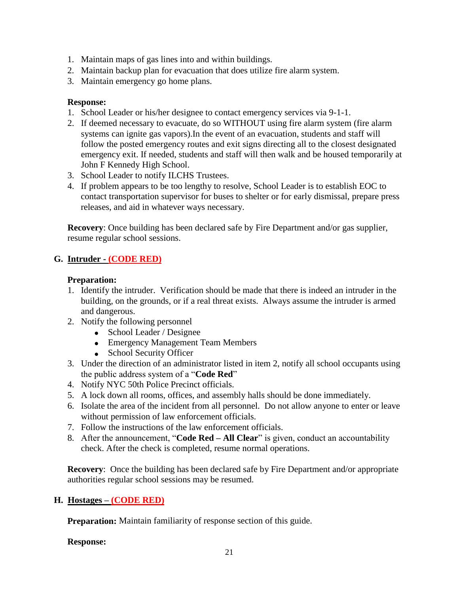- 1. Maintain maps of gas lines into and within buildings.
- 2. Maintain backup plan for evacuation that does utilize fire alarm system.
- 3. Maintain emergency go home plans.

### **Response:**

- 1. School Leader or his/her designee to contact emergency services via 9-1-1.
- 2. If deemed necessary to evacuate, do so WITHOUT using fire alarm system (fire alarm systems can ignite gas vapors).In the event of an evacuation, students and staff will follow the posted emergency routes and exit signs directing all to the closest designated emergency exit. If needed, students and staff will then walk and be housed temporarily at John F Kennedy High School.
- 3. School Leader to notify ILCHS Trustees.
- 4. If problem appears to be too lengthy to resolve, School Leader is to establish EOC to contact transportation supervisor for buses to shelter or for early dismissal, prepare press releases, and aid in whatever ways necessary.

**Recovery**: Once building has been declared safe by Fire Department and/or gas supplier, resume regular school sessions.

## **G. Intruder - (CODE RED)**

### **Preparation:**

- 1. Identify the intruder. Verification should be made that there is indeed an intruder in the building, on the grounds, or if a real threat exists. Always assume the intruder is armed and dangerous.
- 2. Notify the following personnel
	- School Leader / Designee
	- Emergency Management Team Members
	- School Security Officer
- 3. Under the direction of an administrator listed in item 2, notify all school occupants using the public address system of a "**Code Red**"
- 4. Notify NYC 50th Police Precinct officials.
- 5. A lock down all rooms, offices, and assembly halls should be done immediately.
- 6. Isolate the area of the incident from all personnel. Do not allow anyone to enter or leave without permission of law enforcement officials.
- 7. Follow the instructions of the law enforcement officials.
- 8. After the announcement, "**Code Red – All Clear**" is given, conduct an accountability check. After the check is completed, resume normal operations.

**Recovery**: Once the building has been declared safe by Fire Department and/or appropriate authorities regular school sessions may be resumed.

## **H. Hostages – (CODE RED)**

**Preparation:** Maintain familiarity of response section of this guide.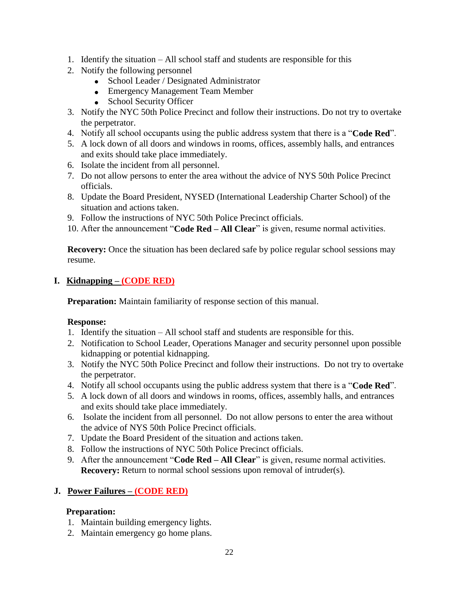- 1. Identify the situation All school staff and students are responsible for this
- 2. Notify the following personnel
	- School Leader / Designated Administrator
	- Emergency Management Team Member
	- School Security Officer
- 3. Notify the NYC 50th Police Precinct and follow their instructions. Do not try to overtake the perpetrator.
- 4. Notify all school occupants using the public address system that there is a "**Code Red**".
- 5. A lock down of all doors and windows in rooms, offices, assembly halls, and entrances and exits should take place immediately.
- 6. Isolate the incident from all personnel.
- 7. Do not allow persons to enter the area without the advice of NYS 50th Police Precinct officials.
- 8. Update the Board President, NYSED (International Leadership Charter School) of the situation and actions taken.
- 9. Follow the instructions of NYC 50th Police Precinct officials.
- 10. After the announcement "**Code Red – All Clear**" is given, resume normal activities.

**Recovery:** Once the situation has been declared safe by police regular school sessions may resume.

## **I. Kidnapping – (CODE RED)**

**Preparation:** Maintain familiarity of response section of this manual.

### **Response:**

- 1. Identify the situation All school staff and students are responsible for this.
- 2. Notification to School Leader, Operations Manager and security personnel upon possible kidnapping or potential kidnapping.
- 3. Notify the NYC 50th Police Precinct and follow their instructions. Do not try to overtake the perpetrator.
- 4. Notify all school occupants using the public address system that there is a "**Code Red**".
- 5. A lock down of all doors and windows in rooms, offices, assembly halls, and entrances and exits should take place immediately.
- 6. Isolate the incident from all personnel. Do not allow persons to enter the area without the advice of NYS 50th Police Precinct officials.
- 7. Update the Board President of the situation and actions taken.
- 8. Follow the instructions of NYC 50th Police Precinct officials.
- 9. After the announcement "**Code Red – All Clear**" is given, resume normal activities. **Recovery:** Return to normal school sessions upon removal of intruder(s).

## **J. Power Failures – (CODE RED)**

### **Preparation:**

- 1. Maintain building emergency lights.
- 2. Maintain emergency go home plans.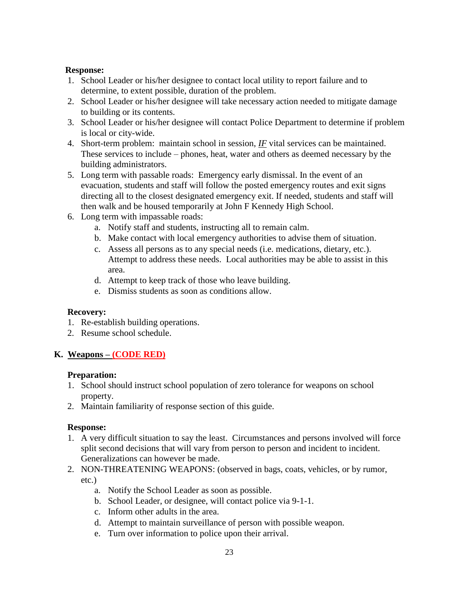### **Response:**

- 1. School Leader or his/her designee to contact local utility to report failure and to determine, to extent possible, duration of the problem.
- 2. School Leader or his/her designee will take necessary action needed to mitigate damage to building or its contents.
- 3. School Leader or his/her designee will contact Police Department to determine if problem is local or city-wide.
- 4. Short-term problem: maintain school in session, *IF* vital services can be maintained. These services to include – phones, heat, water and others as deemed necessary by the building administrators.
- 5. Long term with passable roads: Emergency early dismissal. In the event of an evacuation, students and staff will follow the posted emergency routes and exit signs directing all to the closest designated emergency exit. If needed, students and staff will then walk and be housed temporarily at John F Kennedy High School.
- 6. Long term with impassable roads:
	- a. Notify staff and students, instructing all to remain calm.
	- b. Make contact with local emergency authorities to advise them of situation.
	- c. Assess all persons as to any special needs (i.e. medications, dietary, etc.). Attempt to address these needs. Local authorities may be able to assist in this area.
	- d. Attempt to keep track of those who leave building.
	- e. Dismiss students as soon as conditions allow.

#### **Recovery:**

- 1. Re-establish building operations.
- 2. Resume school schedule.

### **K. Weapons – (CODE RED)**

#### **Preparation:**

- 1. School should instruct school population of zero tolerance for weapons on school property.
- 2. Maintain familiarity of response section of this guide.

- 1. A very difficult situation to say the least. Circumstances and persons involved will force split second decisions that will vary from person to person and incident to incident. Generalizations can however be made.
- 2. NON-THREATENING WEAPONS: (observed in bags, coats, vehicles, or by rumor,
	- etc.)
		- a. Notify the School Leader as soon as possible.
		- b. School Leader, or designee, will contact police via 9-1-1.
		- c. Inform other adults in the area.
		- d. Attempt to maintain surveillance of person with possible weapon.
		- e. Turn over information to police upon their arrival.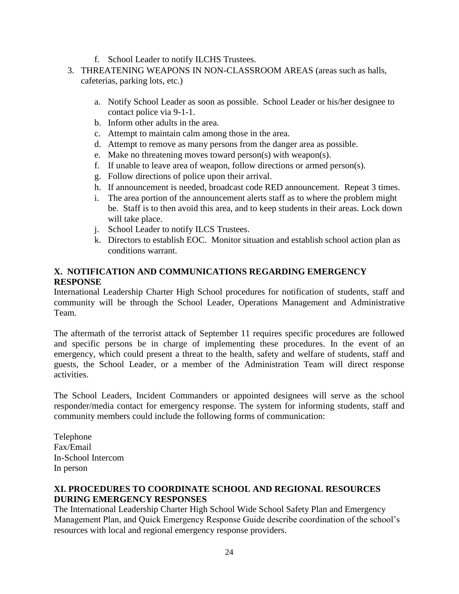- f. School Leader to notify ILCHS Trustees.
- 3. THREATENING WEAPONS IN NON-CLASSROOM AREAS (areas such as halls, cafeterias, parking lots, etc.)
	- a. Notify School Leader as soon as possible. School Leader or his/her designee to contact police via 9-1-1.
	- b. Inform other adults in the area.
	- c. Attempt to maintain calm among those in the area.
	- d. Attempt to remove as many persons from the danger area as possible.
	- e. Make no threatening moves toward person(s) with weapon(s).
	- f. If unable to leave area of weapon, follow directions or armed person(s).
	- g. Follow directions of police upon their arrival.
	- h. If announcement is needed, broadcast code RED announcement. Repeat 3 times.
	- i. The area portion of the announcement alerts staff as to where the problem might be. Staff is to then avoid this area, and to keep students in their areas. Lock down will take place.
	- j. School Leader to notify ILCS Trustees.
	- k. Directors to establish EOC. Monitor situation and establish school action plan as conditions warrant.

### **X. NOTIFICATION AND COMMUNICATIONS REGARDING EMERGENCY RESPONSE**

International Leadership Charter High School procedures for notification of students, staff and community will be through the School Leader, Operations Management and Administrative Team*.*

The aftermath of the terrorist attack of September 11 requires specific procedures are followed and specific persons be in charge of implementing these procedures. In the event of an emergency, which could present a threat to the health, safety and welfare of students, staff and guests, the School Leader, or a member of the Administration Team will direct response activities.

The School Leaders, Incident Commanders or appointed designees will serve as the school responder/media contact for emergency response. The system for informing students, staff and community members could include the following forms of communication:

Telephone Fax/Email In-School Intercom In person

## **XI. PROCEDURES TO COORDINATE SCHOOL AND REGIONAL RESOURCES DURING EMERGENCY RESPONSES**

The International Leadership Charter High School Wide School Safety Plan and Emergency Management Plan, and Quick Emergency Response Guide describe coordination of the school's resources with local and regional emergency response providers.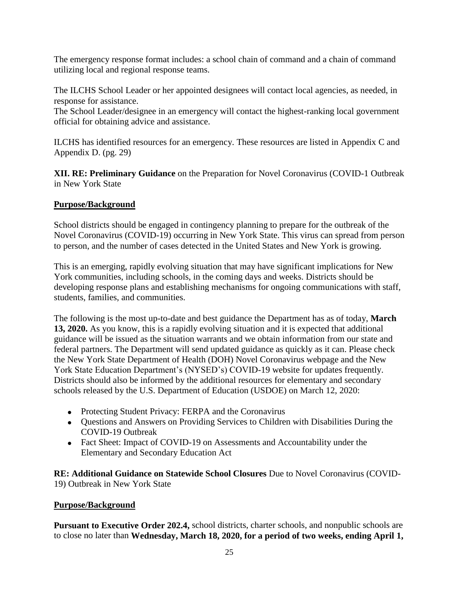The emergency response format includes: a school chain of command and a chain of command utilizing local and regional response teams.

The ILCHS School Leader or her appointed designees will contact local agencies, as needed, in response for assistance.

The School Leader/designee in an emergency will contact the highest-ranking local government official for obtaining advice and assistance.

ILCHS has identified resources for an emergency. These resources are listed in Appendix C and Appendix D. (pg. 29)

**XII. RE: Preliminary Guidance** on the Preparation for Novel Coronavirus (COVID-1 Outbreak in New York State

## **Purpose/Background**

School districts should be engaged in contingency planning to prepare for the outbreak of the Novel Coronavirus (COVID-19) occurring in New York State. This virus can spread from person to person, and the number of cases detected in the United States and New York is growing.

This is an emerging, rapidly evolving situation that may have significant implications for New York communities, including schools, in the coming days and weeks. Districts should be developing response plans and establishing mechanisms for ongoing communications with staff, students, families, and communities.

The following is the most up-to-date and best guidance the Department has as of today, **March 13, 2020.** As you know, this is a rapidly evolving situation and it is expected that additional guidance will be issued as the situation warrants and we obtain information from our state and federal partners. The Department will send updated guidance as quickly as it can. Please check the New York State Department of Health (DOH) Novel Coronavirus webpage and the New York State Education Department's (NYSED's) COVID-19 website for updates frequently. Districts should also be informed by the additional resources for elementary and secondary schools released by the U.S. Department of Education (USDOE) on March 12, 2020:

- Protecting Student Privacy: FERPA and the Coronavirus
- Questions and Answers on Providing Services to Children with Disabilities During the COVID-19 Outbreak
- Fact Sheet: Impact of COVID-19 on Assessments and Accountability under the Elementary and Secondary Education Act

**RE: Additional Guidance on Statewide School Closures** Due to Novel Coronavirus (COVID-19) Outbreak in New York State

### **Purpose/Background**

**Pursuant to Executive Order 202.4,** school districts, charter schools, and nonpublic schools are to close no later than **Wednesday, March 18, 2020, for a period of two weeks, ending April 1,**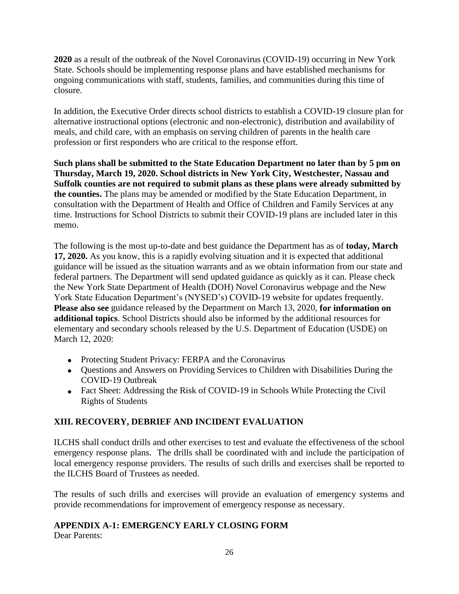**2020** as a result of the outbreak of the Novel Coronavirus (COVID-19) occurring in New York State. Schools should be implementing response plans and have established mechanisms for ongoing communications with staff, students, families, and communities during this time of closure.

In addition, the Executive Order directs school districts to establish a COVID-19 closure plan for alternative instructional options (electronic and non-electronic), distribution and availability of meals, and child care, with an emphasis on serving children of parents in the health care profession or first responders who are critical to the response effort.

**Such plans shall be submitted to the State Education Department no later than by 5 pm on Thursday, March 19, 2020. School districts in New York City, Westchester, Nassau and Suffolk counties are not required to submit plans as these plans were already submitted by the counties.** The plans may be amended or modified by the State Education Department, in consultation with the Department of Health and Office of Children and Family Services at any time. Instructions for School Districts to submit their COVID-19 plans are included later in this memo.

The following is the most up-to-date and best guidance the Department has as of **today, March 17, 2020.** As you know, this is a rapidly evolving situation and it is expected that additional guidance will be issued as the situation warrants and as we obtain information from our state and federal partners. The Department will send updated guidance as quickly as it can. Please check the New York State Department of Health (DOH) Novel Coronavirus webpage and the New York State Education Department's (NYSED's) COVID-19 website for updates frequently. **Please also see** guidance released by the Department on March 13, 2020, **for information on additional topics**. School Districts should also be informed by the additional resources for elementary and secondary schools released by the U.S. Department of Education (USDE) on March 12, 2020:

- Protecting Student Privacy: FERPA and the Coronavirus
- Questions and Answers on Providing Services to Children with Disabilities During the COVID-19 Outbreak
- Fact Sheet: Addressing the Risk of COVID-19 in Schools While Protecting the Civil Rights of Students

### **XIII. RECOVERY, DEBRIEF AND INCIDENT EVALUATION**

ILCHS shall conduct drills and other exercises to test and evaluate the effectiveness of the school emergency response plans. The drills shall be coordinated with and include the participation of local emergency response providers. The results of such drills and exercises shall be reported to the ILCHS Board of Trustees as needed.

The results of such drills and exercises will provide an evaluation of emergency systems and provide recommendations for improvement of emergency response as necessary.

### **APPENDIX A-1: EMERGENCY EARLY CLOSING FORM**

Dear Parents: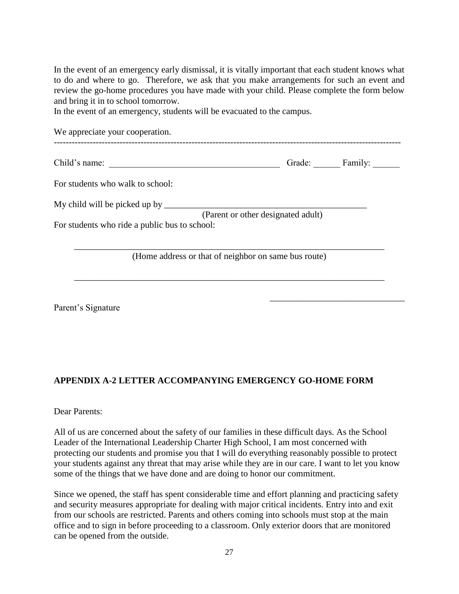In the event of an emergency early dismissal, it is vitally important that each student knows what to do and where to go. Therefore, we ask that you make arrangements for such an event and review the go-home procedures you have made with your child. Please complete the form below and bring it in to school tomorrow.

In the event of an emergency, students will be evacuated to the campus.

| We appreciate your cooperation.                      |                                    |         |
|------------------------------------------------------|------------------------------------|---------|
| Child's name:                                        | Grade:                             | Family: |
| For students who walk to school:                     |                                    |         |
| My child will be picked up by _______                | (Parent or other designated adult) |         |
| For students who ride a public bus to school:        |                                    |         |
| (Home address or that of neighbor on same bus route) |                                    |         |
|                                                      |                                    |         |

\_\_\_\_\_\_\_\_\_\_\_\_\_\_\_\_\_\_\_\_\_\_\_\_\_\_\_\_\_\_

Parent's Signature

### **APPENDIX A-2 LETTER ACCOMPANYING EMERGENCY GO-HOME FORM**

Dear Parents:

All of us are concerned about the safety of our families in these difficult days. As the School Leader of the International Leadership Charter High School, I am most concerned with protecting our students and promise you that I will do everything reasonably possible to protect your students against any threat that may arise while they are in our care. I want to let you know some of the things that we have done and are doing to honor our commitment.

Since we opened, the staff has spent considerable time and effort planning and practicing safety and security measures appropriate for dealing with major critical incidents. Entry into and exit from our schools are restricted. Parents and others coming into schools must stop at the main office and to sign in before proceeding to a classroom. Only exterior doors that are monitored can be opened from the outside.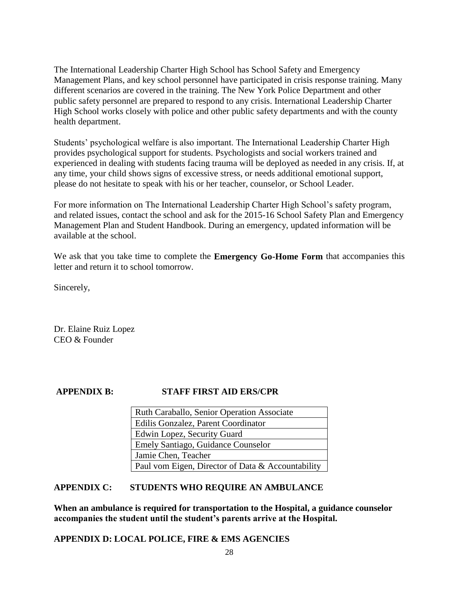The International Leadership Charter High School has School Safety and Emergency Management Plans, and key school personnel have participated in crisis response training. Many different scenarios are covered in the training. The New York Police Department and other public safety personnel are prepared to respond to any crisis. International Leadership Charter High School works closely with police and other public safety departments and with the county health department.

Students' psychological welfare is also important. The International Leadership Charter High provides psychological support for students. Psychologists and social workers trained and experienced in dealing with students facing trauma will be deployed as needed in any crisis. If, at any time, your child shows signs of excessive stress, or needs additional emotional support, please do not hesitate to speak with his or her teacher, counselor, or School Leader.

For more information on The International Leadership Charter High School's safety program, and related issues, contact the school and ask for the 2015-16 School Safety Plan and Emergency Management Plan and Student Handbook. During an emergency, updated information will be available at the school.

We ask that you take time to complete the **Emergency Go-Home Form** that accompanies this letter and return it to school tomorrow.

Sincerely,

Dr. Elaine Ruiz Lopez CEO & Founder

#### **APPENDIX B: STAFF FIRST AID ERS/CPR**

| Ruth Caraballo, Senior Operation Associate        |
|---------------------------------------------------|
| Edilis Gonzalez, Parent Coordinator               |
| Edwin Lopez, Security Guard                       |
| Emely Santiago, Guidance Counselor                |
| Jamie Chen, Teacher                               |
| Paul vom Eigen, Director of Data & Accountability |

#### **APPENDIX C: STUDENTS WHO REQUIRE AN AMBULANCE**

**When an ambulance is required for transportation to the Hospital, a guidance counselor accompanies the student until the student's parents arrive at the Hospital.**

**APPENDIX D: LOCAL POLICE, FIRE & EMS AGENCIES**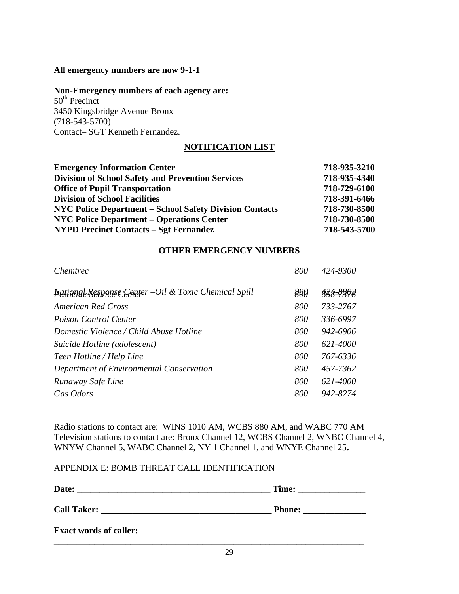#### **All emergency numbers are now 9-1-1**

#### **Non-Emergency numbers of each agency are:**

 $50<sup>th</sup>$  Precinct 3450 Kingsbridge Avenue Bronx (718-543-5700) Contact– SGT Kenneth Fernandez.

#### **NOTIFICATION LIST**

| <b>Emergency Information Center</b>                            | 718-935-3210 |
|----------------------------------------------------------------|--------------|
| <b>Division of School Safety and Prevention Services</b>       | 718-935-4340 |
| <b>Office of Pupil Transportation</b>                          | 718-729-6100 |
| <b>Division of School Facilities</b>                           | 718-391-6466 |
| <b>NYC Police Department – School Safety Division Contacts</b> | 718-730-8500 |
| <b>NYC Police Department – Operations Center</b>               | 718-730-8500 |
| <b>NYPD Precinct Contacts – Sgt Fernandez</b>                  | 718-543-5700 |

#### **OTHER EMERGENCY NUMBERS**

| Chemtrec                                              | 800 | 424-9300 |
|-------------------------------------------------------|-----|----------|
| Pational Response Compter -Oil & Toxic Chemical Spill | 800 | 434-8808 |
| <b>American Red Cross</b>                             | 800 | 733-2767 |
| Poison Control Center                                 | 800 | 336-6997 |
| Domestic Violence / Child Abuse Hotline               | 800 | 942-6906 |
| Suicide Hotline (adolescent)                          | 800 | 621-4000 |
| Teen Hotline / Help Line                              | 800 | 767-6336 |
| Department of Environmental Conservation              | 800 | 457-7362 |
| Runaway Safe Line                                     | 800 | 621-4000 |
| Gas Odors                                             | 800 | 942-8274 |
|                                                       |     |          |

Radio stations to contact are: WINS 1010 AM, WCBS 880 AM, and WABC 770 AM Television stations to contact are: Bronx Channel 12, WCBS Channel 2, WNBC Channel 4, WNYW Channel 5, WABC Channel 2, NY 1 Channel 1, and WNYE Channel 25**.**

#### APPENDIX E: BOMB THREAT CALL IDENTIFICATION

| Date:                         | Time:         |
|-------------------------------|---------------|
| <b>Call Taker:</b>            | <b>Phone:</b> |
| <b>Exact words of caller:</b> |               |

**\_\_\_\_\_\_\_\_\_\_\_\_\_\_\_\_\_\_\_\_\_\_\_\_\_\_\_\_\_\_\_\_\_\_\_\_\_\_\_\_\_\_\_\_\_\_\_\_\_\_\_\_\_\_\_\_\_\_\_\_\_\_\_\_\_\_\_\_\_**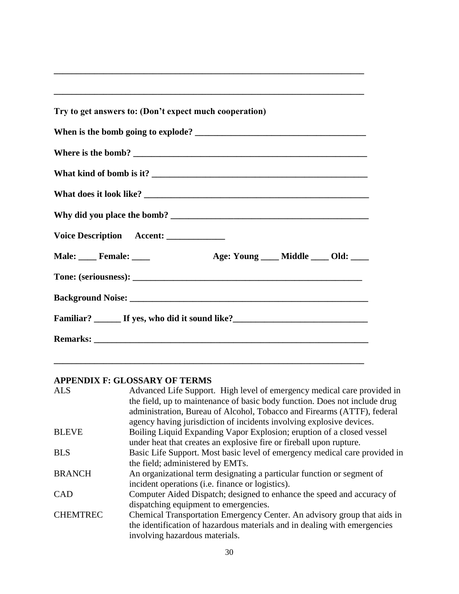| Try to get answers to: (Don't expect much cooperation)                            |
|-----------------------------------------------------------------------------------|
|                                                                                   |
|                                                                                   |
|                                                                                   |
|                                                                                   |
|                                                                                   |
|                                                                                   |
| Voice Description Accent: ____________                                            |
| Male: Female: Female: Age: Young Middle Old:                                      |
|                                                                                   |
|                                                                                   |
| Familiar? ________ If yes, who did it sound like?________________________________ |
|                                                                                   |

**\_\_\_\_\_\_\_\_\_\_\_\_\_\_\_\_\_\_\_\_\_\_\_\_\_\_\_\_\_\_\_\_\_\_\_\_\_\_\_\_\_\_\_\_\_\_\_\_\_\_\_\_\_\_\_\_\_\_\_\_\_\_\_\_\_\_\_\_\_** 

# **APPENDIX F: GLOSSARY OF TERMS**

| <b>ALS</b>      | Advanced Life Support. High level of emergency medical care provided in    |
|-----------------|----------------------------------------------------------------------------|
|                 | the field, up to maintenance of basic body function. Does not include drug |
|                 | administration, Bureau of Alcohol, Tobacco and Firearms (ATTF), federal    |
|                 | agency having jurisdiction of incidents involving explosive devices.       |
| <b>BLEVE</b>    | Boiling Liquid Expanding Vapor Explosion; eruption of a closed vessel      |
|                 | under heat that creates an explosive fire or fireball upon rupture.        |
| <b>BLS</b>      | Basic Life Support. Most basic level of emergency medical care provided in |
|                 | the field; administered by EMTs.                                           |
| <b>BRANCH</b>   | An organizational term designating a particular function or segment of     |
|                 | incident operations (i.e. finance or logistics).                           |
| <b>CAD</b>      | Computer Aided Dispatch; designed to enhance the speed and accuracy of     |
|                 | dispatching equipment to emergencies.                                      |
| <b>CHEMTREC</b> | Chemical Transportation Emergency Center. An advisory group that aids in   |
|                 | the identification of hazardous materials and in dealing with emergencies  |
|                 | involving hazardous materials.                                             |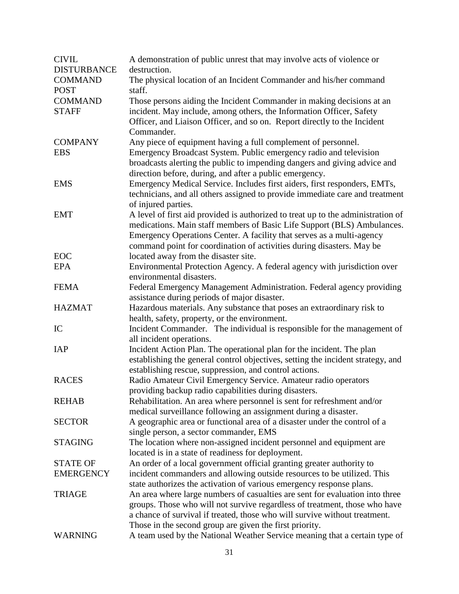| <b>CIVIL</b>       | A demonstration of public unrest that may involve acts of violence or            |
|--------------------|----------------------------------------------------------------------------------|
| <b>DISTURBANCE</b> | destruction.                                                                     |
| <b>COMMAND</b>     | The physical location of an Incident Commander and his/her command               |
| <b>POST</b>        | staff.                                                                           |
| <b>COMMAND</b>     | Those persons aiding the Incident Commander in making decisions at an            |
| <b>STAFF</b>       | incident. May include, among others, the Information Officer, Safety             |
|                    | Officer, and Liaison Officer, and so on. Report directly to the Incident         |
|                    | Commander.                                                                       |
| <b>COMPANY</b>     | Any piece of equipment having a full complement of personnel.                    |
| <b>EBS</b>         | Emergency Broadcast System. Public emergency radio and television                |
|                    | broadcasts alerting the public to impending dangers and giving advice and        |
|                    | direction before, during, and after a public emergency.                          |
| <b>EMS</b>         | Emergency Medical Service. Includes first aiders, first responders, EMTs,        |
|                    | technicians, and all others assigned to provide immediate care and treatment     |
|                    | of injured parties.                                                              |
| <b>EMT</b>         | A level of first aid provided is authorized to treat up to the administration of |
|                    | medications. Main staff members of Basic Life Support (BLS) Ambulances.          |
|                    | Emergency Operations Center. A facility that serves as a multi-agency            |
|                    | command point for coordination of activities during disasters. May be            |
| EOC                | located away from the disaster site.                                             |
| <b>EPA</b>         | Environmental Protection Agency. A federal agency with jurisdiction over         |
|                    | environmental disasters.                                                         |
| <b>FEMA</b>        | Federal Emergency Management Administration. Federal agency providing            |
|                    | assistance during periods of major disaster.                                     |
| <b>HAZMAT</b>      | Hazardous materials. Any substance that poses an extraordinary risk to           |
|                    | health, safety, property, or the environment.                                    |
| IC                 | Incident Commander. The individual is responsible for the management of          |
|                    | all incident operations.                                                         |
| <b>IAP</b>         | Incident Action Plan. The operational plan for the incident. The plan            |
|                    | establishing the general control objectives, setting the incident strategy, and  |
|                    | establishing rescue, suppression, and control actions.                           |
| <b>RACES</b>       | Radio Amateur Civil Emergency Service. Amateur radio operators                   |
|                    | providing backup radio capabilities during disasters.                            |
| <b>REHAB</b>       | Rehabilitation. An area where personnel is sent for refreshment and/or           |
|                    | medical surveillance following an assignment during a disaster.                  |
| <b>SECTOR</b>      | A geographic area or functional area of a disaster under the control of a        |
|                    | single person, a sector commander, EMS                                           |
| <b>STAGING</b>     | The location where non-assigned incident personnel and equipment are             |
|                    | located is in a state of readiness for deployment.                               |
| <b>STATE OF</b>    | An order of a local government official granting greater authority to            |
| <b>EMERGENCY</b>   | incident commanders and allowing outside resources to be utilized. This          |
|                    | state authorizes the activation of various emergency response plans.             |
| <b>TRIAGE</b>      | An area where large numbers of casualties are sent for evaluation into three     |
|                    | groups. Those who will not survive regardless of treatment, those who have       |
|                    | a chance of survival if treated, those who will survive without treatment.       |
|                    | Those in the second group are given the first priority.                          |
| <b>WARNING</b>     | A team used by the National Weather Service meaning that a certain type of       |